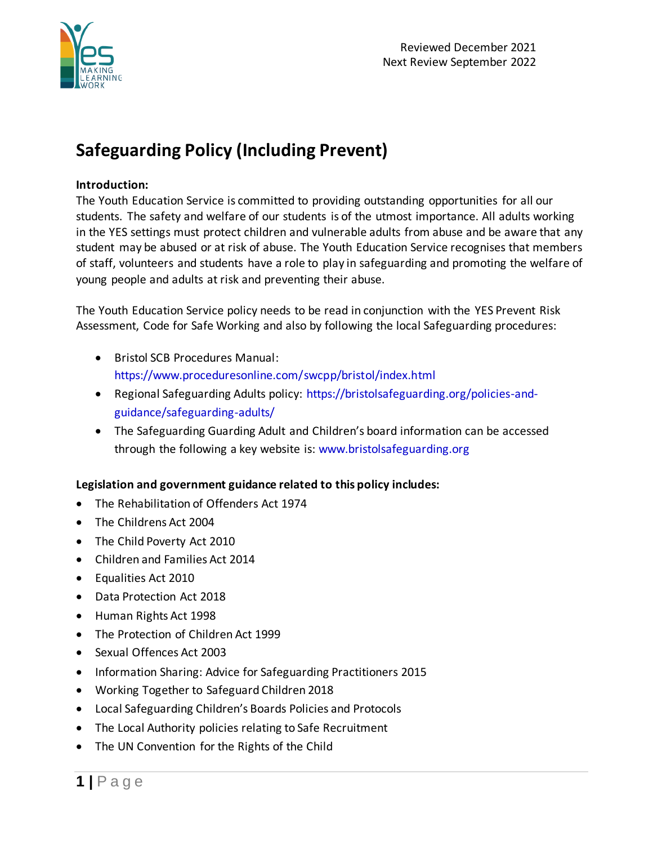

# **Safeguarding Policy (Including Prevent)**

## **Introduction:**

The Youth Education Service is committed to providing outstanding opportunities for all our students. The safety and welfare of our students is of the utmost importance. All adults working in the YES settings must protect children and vulnerable adults from abuse and be aware that any student may be abused or at risk of abuse. The Youth Education Service recognises that members of staff, volunteers and students have a role to play in safeguarding and promoting the welfare of young people and adults at risk and preventing their abuse.

The Youth Education Service policy needs to be read in conjunction with the YES Prevent Risk Assessment, Code for Safe Working and also by following the local Safeguarding procedures:

- Bristol SCB Procedures Manual: https://www.proceduresonline.com/swcpp/bristol/index.html
- Regional Safeguarding Adults policy: https://bristolsafeguarding.org/policies-andguidance/safeguarding-adults/
- The Safeguarding Guarding Adult and Children's board information can be accessed through the following a key website is: www.bristolsafeguarding.org

## **Legislation and government guidance related to this policy includes:**

- The Rehabilitation of Offenders Act 1974
- The Childrens Act 2004
- The Child Poverty Act 2010
- Children and Families Act 2014
- Equalities Act 2010
- Data Protection Act 2018
- Human Rights Act 1998
- The Protection of Children Act 1999
- Sexual Offences Act 2003
- Information Sharing: Advice for Safeguarding Practitioners 2015
- Working Together to Safeguard Children 2018
- Local Safeguarding Children's Boards Policies and Protocols
- The Local Authority policies relating to Safe Recruitment
- The UN Convention for the Rights of the Child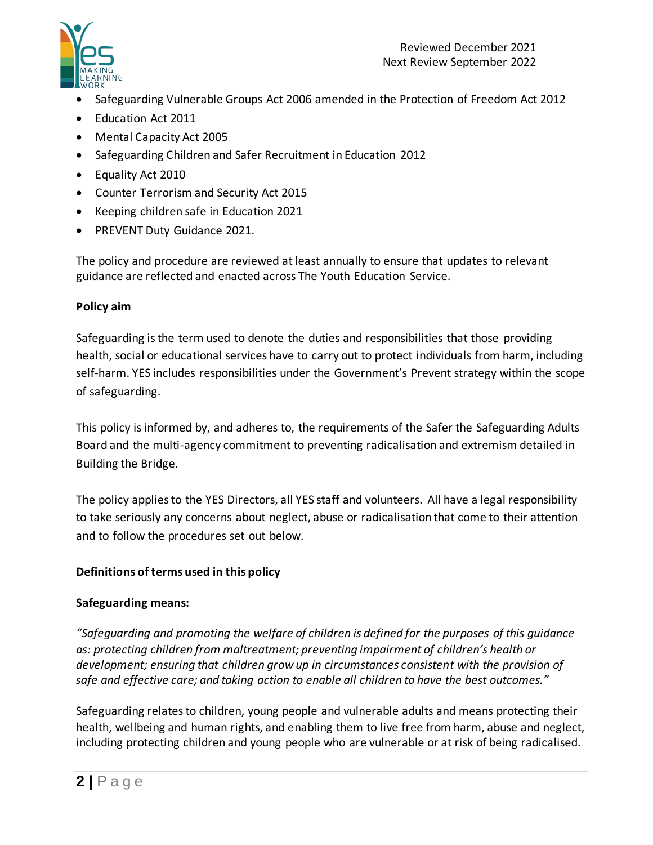

- Safeguarding Vulnerable Groups Act 2006 amended in the Protection of Freedom Act 2012
- Education Act 2011
- Mental Capacity Act 2005
- Safeguarding Children and Safer Recruitment in Education 2012
- Equality Act 2010
- Counter Terrorism and Security Act 2015
- Keeping children safe in Education 2021
- PREVENT Duty Guidance 2021.

The policy and procedure are reviewed at least annually to ensure that updates to relevant guidance are reflected and enacted across The Youth Education Service.

## **Policy aim**

Safeguarding is the term used to denote the duties and responsibilities that those providing health, social or educational services have to carry out to protect individuals from harm, including self-harm. YES includes responsibilities under the Government's Prevent strategy within the scope of safeguarding.

This policy is informed by, and adheres to, the requirements of the Safer the Safeguarding Adults Board and the multi-agency commitment to preventing radicalisation and extremism detailed in Building the Bridge.

The policy applies to the YES Directors, all YES staff and volunteers. All have a legal responsibility to take seriously any concerns about neglect, abuse or radicalisation that come to their attention and to follow the procedures set out below.

## **Definitions of terms used in this policy**

## **Safeguarding means:**

*"Safeguarding and promoting the welfare of children is defined for the purposes of this guidance as: protecting children from maltreatment; preventing impairment of children's health or development; ensuring that children grow up in circumstances consistent with the provision of safe and effective care; and taking action to enable all children to have the best outcomes."* 

Safeguarding relates to children, young people and vulnerable adults and means protecting their health, wellbeing and human rights, and enabling them to live free from harm, abuse and neglect, including protecting children and young people who are vulnerable or at risk of being radicalised.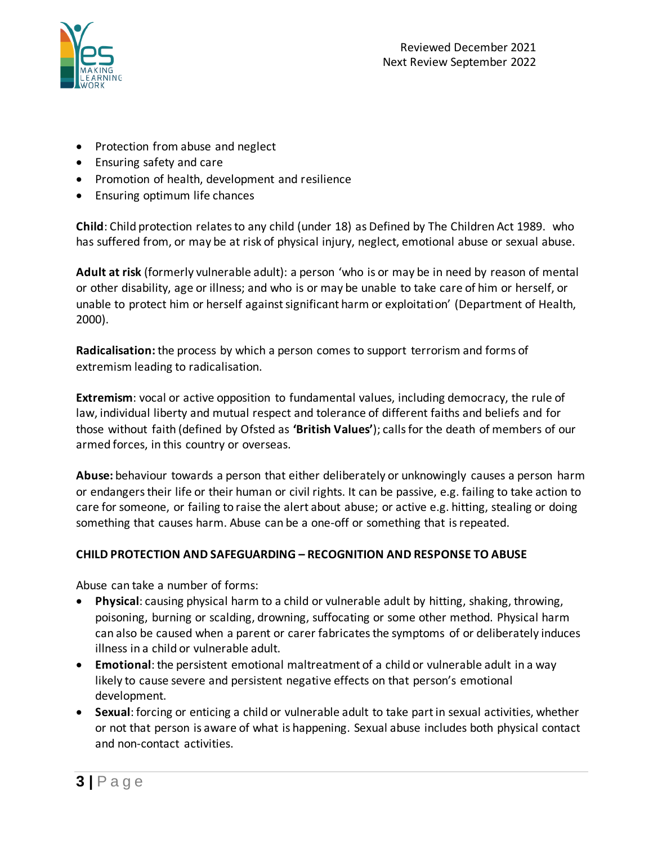

- Protection from abuse and neglect
- Ensuring safety and care
- Promotion of health, development and resilience
- Ensuring optimum life chances

**Child**: Child protection relates to any child (under 18) as Defined by The Children Act 1989. who has suffered from, or may be at risk of physical injury, neglect, emotional abuse or sexual abuse.

**Adult at risk** (formerly vulnerable adult): a person 'who is or may be in need by reason of mental or other disability, age or illness; and who is or may be unable to take care of him or herself, or unable to protect him or herself against significant harm or exploitation' (Department of Health, 2000).

**Radicalisation:** the process by which a person comes to support terrorism and forms of extremism leading to radicalisation.

**Extremism**: vocal or active opposition to fundamental values, including democracy, the rule of law, individual liberty and mutual respect and tolerance of different faiths and beliefs and for those without faith (defined by Ofsted as **'British Values'**); calls for the death of members of our armed forces, in this country or overseas.

**Abuse:** behaviour towards a person that either deliberately or unknowingly causes a person harm or endangers their life or their human or civil rights. It can be passive, e.g. failing to take action to care for someone, or failing to raise the alert about abuse; or active e.g. hitting, stealing or doing something that causes harm. Abuse can be a one-off or something that is repeated.

## **CHILD PROTECTION AND SAFEGUARDING – RECOGNITION AND RESPONSE TO ABUSE**

Abuse can take a number of forms:

- **Physical**: causing physical harm to a child or vulnerable adult by hitting, shaking, throwing, poisoning, burning or scalding, drowning, suffocating or some other method. Physical harm can also be caused when a parent or carer fabricates the symptoms of or deliberately induces illness in a child or vulnerable adult.
- **Emotional**: the persistent emotional maltreatment of a child or vulnerable adult in a way likely to cause severe and persistent negative effects on that person's emotional development.
- **Sexual**: forcing or enticing a child or vulnerable adult to take part in sexual activities, whether or not that person is aware of what is happening. Sexual abuse includes both physical contact and non-contact activities.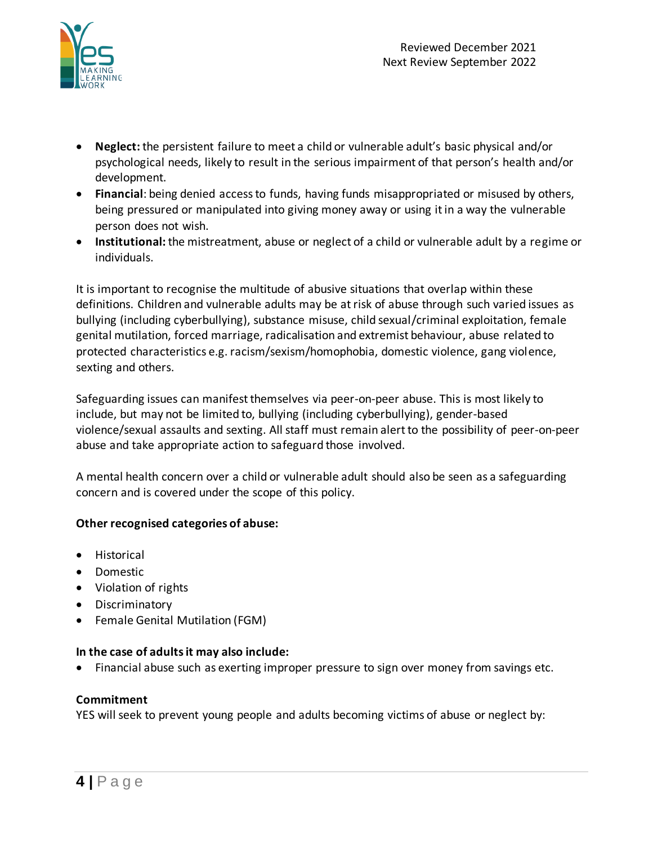

- **Neglect:** the persistent failure to meet a child or vulnerable adult's basic physical and/or psychological needs, likely to result in the serious impairment of that person's health and/or development.
- **Financial**: being denied access to funds, having funds misappropriated or misused by others, being pressured or manipulated into giving money away or using it in a way the vulnerable person does not wish.
- **Institutional:** the mistreatment, abuse or neglect of a child or vulnerable adult by a regime or individuals.

It is important to recognise the multitude of abusive situations that overlap within these definitions. Children and vulnerable adults may be at risk of abuse through such varied issues as bullying (including cyberbullying), substance misuse, child sexual/criminal exploitation, female genital mutilation, forced marriage, radicalisation and extremist behaviour, abuse related to protected characteristics e.g. racism/sexism/homophobia, domestic violence, gang violence, sexting and others.

Safeguarding issues can manifest themselves via peer-on-peer abuse. This is most likely to include, but may not be limited to, bullying (including cyberbullying), gender-based violence/sexual assaults and sexting. All staff must remain alert to the possibility of peer-on-peer abuse and take appropriate action to safeguard those involved.

A mental health concern over a child or vulnerable adult should also be seen as a safeguarding concern and is covered under the scope of this policy.

## **Other recognised categories of abuse:**

- Historical
- Domestic
- Violation of rights
- Discriminatory
- Female Genital Mutilation (FGM)

## **In the case of adults it may also include:**

• Financial abuse such as exerting improper pressure to sign over money from savings etc.

## **Commitment**

YES will seek to prevent young people and adults becoming victims of abuse or neglect by: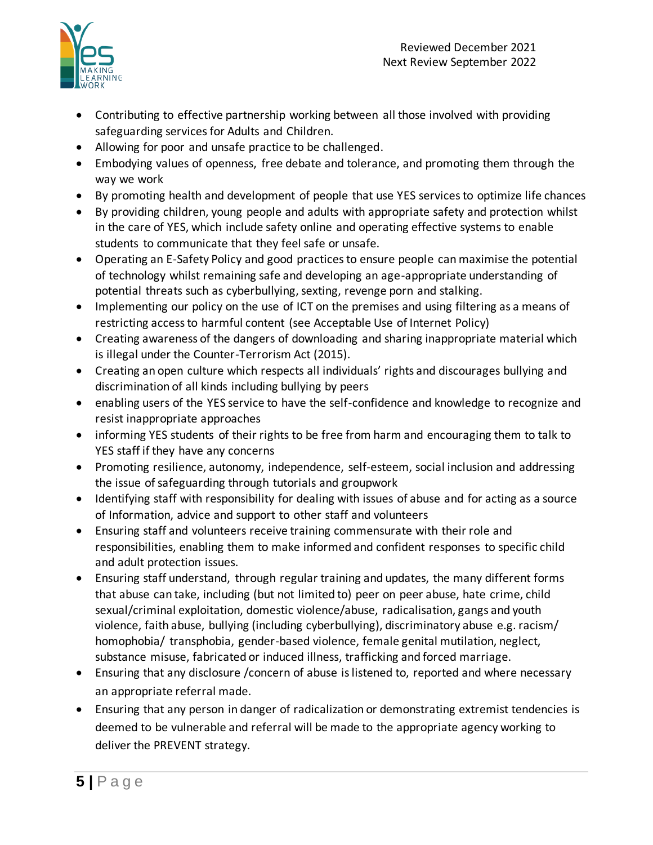

- Contributing to effective partnership working between all those involved with providing safeguarding services for Adults and Children.
- Allowing for poor and unsafe practice to be challenged.
- Embodying values of openness, free debate and tolerance, and promoting them through the way we work
- By promoting health and development of people that use YES servicesto optimize life chances
- By providing children, young people and adults with appropriate safety and protection whilst in the care of YES, which include safety online and operating effective systems to enable students to communicate that they feel safe or unsafe.
- Operating an E-Safety Policy and good practices to ensure people can maximise the potential of technology whilst remaining safe and developing an age-appropriate understanding of potential threats such as cyberbullying, sexting, revenge porn and stalking.
- Implementing our policy on the use of ICT on the premises and using filtering as a means of restricting access to harmful content (see Acceptable Use of Internet Policy)
- Creating awareness of the dangers of downloading and sharing inappropriate material which is illegal under the Counter-Terrorism Act (2015).
- Creating an open culture which respects all individuals' rights and discourages bullying and discrimination of all kinds including bullying by peers
- enabling users of the YES service to have the self-confidence and knowledge to recognize and resist inappropriate approaches
- informing YES students of their rights to be free from harm and encouraging them to talk to YES staff if they have any concerns
- Promoting resilience, autonomy, independence, self-esteem, social inclusion and addressing the issue of safeguarding through tutorials and groupwork
- Identifying staff with responsibility for dealing with issues of abuse and for acting as a source of Information, advice and support to other staff and volunteers
- Ensuring staff and volunteers receive training commensurate with their role and responsibilities, enabling them to make informed and confident responses to specific child and adult protection issues.
- Ensuring staff understand, through regular training and updates, the many different forms that abuse can take, including (but not limited to) peer on peer abuse, hate crime, child sexual/criminal exploitation, domestic violence/abuse, radicalisation, gangs and youth violence, faith abuse, bullying (including cyberbullying), discriminatory abuse e.g. racism/ homophobia/ transphobia, gender-based violence, female genital mutilation, neglect, substance misuse, fabricated or induced illness, trafficking and forced marriage.
- Ensuring that any disclosure /concern of abuse is listened to, reported and where necessary an appropriate referral made.
- Ensuring that any person in danger of radicalization or demonstrating extremist tendencies is deemed to be vulnerable and referral will be made to the appropriate agency working to deliver the PREVENT strategy.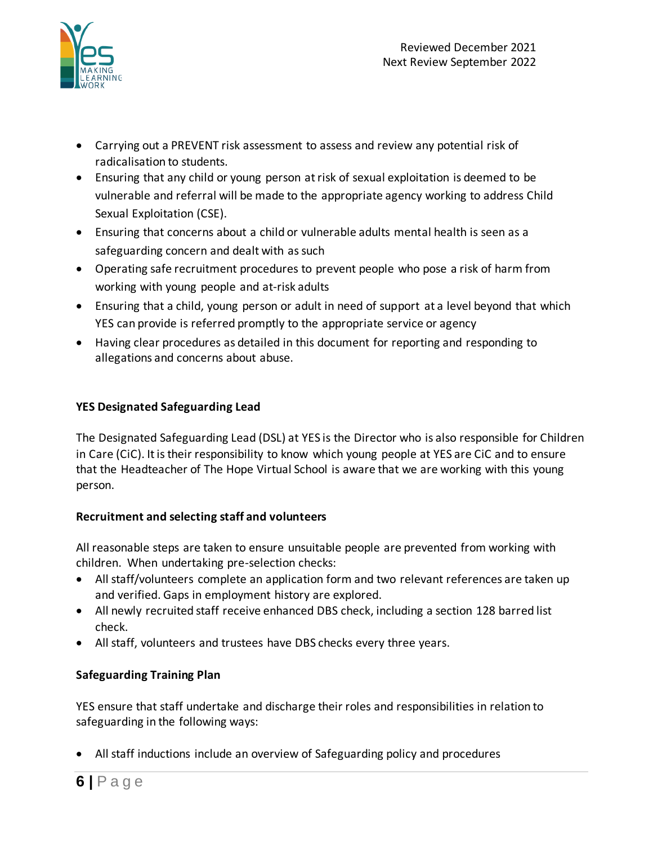

- Carrying out a PREVENT risk assessment to assess and review any potential risk of radicalisation to students.
- Ensuring that any child or young person at risk of sexual exploitation is deemed to be vulnerable and referral will be made to the appropriate agency working to address Child Sexual Exploitation (CSE).
- Ensuring that concerns about a child or vulnerable adults mental health is seen as a safeguarding concern and dealt with as such
- Operating safe recruitment procedures to prevent people who pose a risk of harm from working with young people and at-risk adults
- Ensuring that a child, young person or adult in need of support at a level beyond that which YES can provide is referred promptly to the appropriate service or agency
- Having clear procedures as detailed in this document for reporting and responding to allegations and concerns about abuse.

# **YES Designated Safeguarding Lead**

The Designated Safeguarding Lead (DSL) at YES is the Director who is also responsible for Children in Care (CiC). It is their responsibility to know which young people at YES are CiC and to ensure that the Headteacher of The Hope Virtual School is aware that we are working with this young person.

# **Recruitment and selecting staff and volunteers**

All reasonable steps are taken to ensure unsuitable people are prevented from working with children. When undertaking pre-selection checks:

- All staff/volunteers complete an application form and two relevant references are taken up and verified. Gaps in employment history are explored.
- All newly recruited staff receive enhanced DBS check, including a section 128 barred list check.
- All staff, volunteers and trustees have DBS checks every three years.

# **Safeguarding Training Plan**

YES ensure that staff undertake and discharge their roles and responsibilities in relation to safeguarding in the following ways:

• All staff inductions include an overview of Safeguarding policy and procedures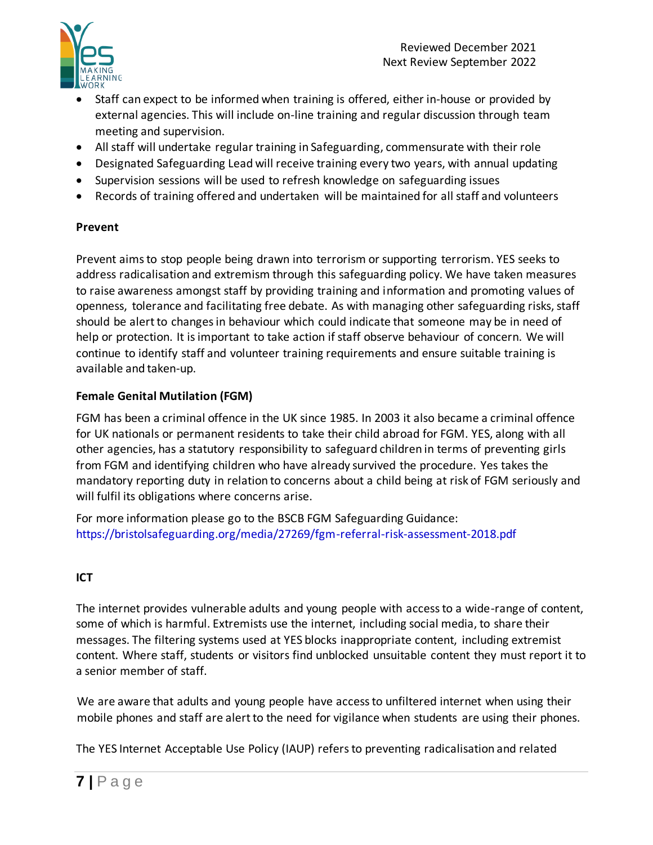

- Staff can expect to be informed when training is offered, either in-house or provided by external agencies. This will include on-line training and regular discussion through team meeting and supervision.
- All staff will undertake regular training in Safeguarding, commensurate with their role
- Designated Safeguarding Lead will receive training every two years, with annual updating
- Supervision sessions will be used to refresh knowledge on safeguarding issues
- Records of training offered and undertaken will be maintained for all staff and volunteers

## **Prevent**

Prevent aims to stop people being drawn into terrorism or supporting terrorism. YES seeks to address radicalisation and extremism through this safeguarding policy. We have taken measures to raise awareness amongst staff by providing training and information and promoting values of openness, tolerance and facilitating free debate. As with managing other safeguarding risks, staff should be alert to changes in behaviour which could indicate that someone may be in need of help or protection. It is important to take action if staff observe behaviour of concern. We will continue to identify staff and volunteer training requirements and ensure suitable training is available and taken-up.

# **Female Genital Mutilation (FGM)**

FGM has been a criminal offence in the UK since 1985. In 2003 it also became a criminal offence for UK nationals or permanent residents to take their child abroad for FGM. YES, along with all other agencies, has a statutory responsibility to safeguard children in terms of preventing girls from FGM and identifying children who have already survived the procedure. Yes takes the mandatory reporting duty in relation to concerns about a child being at risk of FGM seriously and will fulfil its obligations where concerns arise.

For more information please go to the BSCB FGM Safeguarding Guidance: https://bristolsafeguarding.org/media/27269/fgm-referral-risk-assessment-2018.pdf

# **ICT**

The internet provides vulnerable adults and young people with access to a wide-range of content, some of which is harmful. Extremists use the internet, including social media, to share their messages. The filtering systems used at YES blocks inappropriate content, including extremist content. Where staff, students or visitors find unblocked unsuitable content they must report it to a senior member of staff.

We are aware that adults and young people have access to unfiltered internet when using their mobile phones and staff are alert to the need for vigilance when students are using their phones.

The YES Internet Acceptable Use Policy (IAUP) refers to preventing radicalisation and related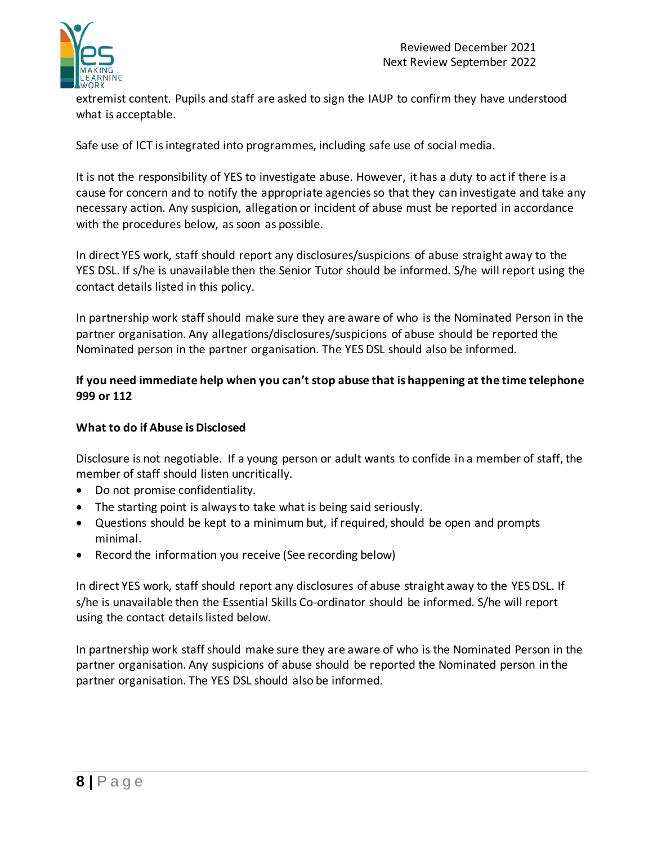

extremist content. Pupils and staff are asked to sign the IAUP to confirm they have understood what is acceptable.

Safe use of ICT is integrated into programmes, including safe use of social media.

It is not the responsibility of YES to investigate abuse. However, it has a duty to act if there is a cause for concern and to notify the appropriate agencies so that they can investigate and take any necessary action. Any suspicion, allegation or incident of abuse must be reported in accordance with the procedures below, as soon as possible.

In direct YES work, staff should report any disclosures/suspicions of abuse straight away to the YES DSL. If s/he is unavailable then the Senior Tutor should be informed. S/he will report using the contact details listed in this policy.

In partnership work staff should make sure they are aware of who is the Nominated Person in the partner organisation. Any allegations/disclosures/suspicions of abuse should be reported the Nominated person in the partner organisation. The YES DSL should also be informed.

## **If you need immediate help when you can't stop abuse that is happening at the time telephone 999 or 112**

#### **What to do if Abuse is Disclosed**

Disclosure is not negotiable. If a young person or adult wants to confide in a member of staff, the member of staff should listen uncritically.

- Do not promise confidentiality.
- The starting point is always to take what is being said seriously.
- Questions should be kept to a minimum but, if required, should be open and prompts minimal.
- Record the information you receive (See recording below)

In direct YES work, staff should report any disclosures of abuse straight away to the YES DSL. If s/he is unavailable then the Essential Skills Co-ordinator should be informed. S/he will report using the contact details listed below.

In partnership work staff should make sure they are aware of who is the Nominated Person in the partner organisation. Any suspicions of abuse should be reported the Nominated person in the partner organisation. The YES DSL should also be informed.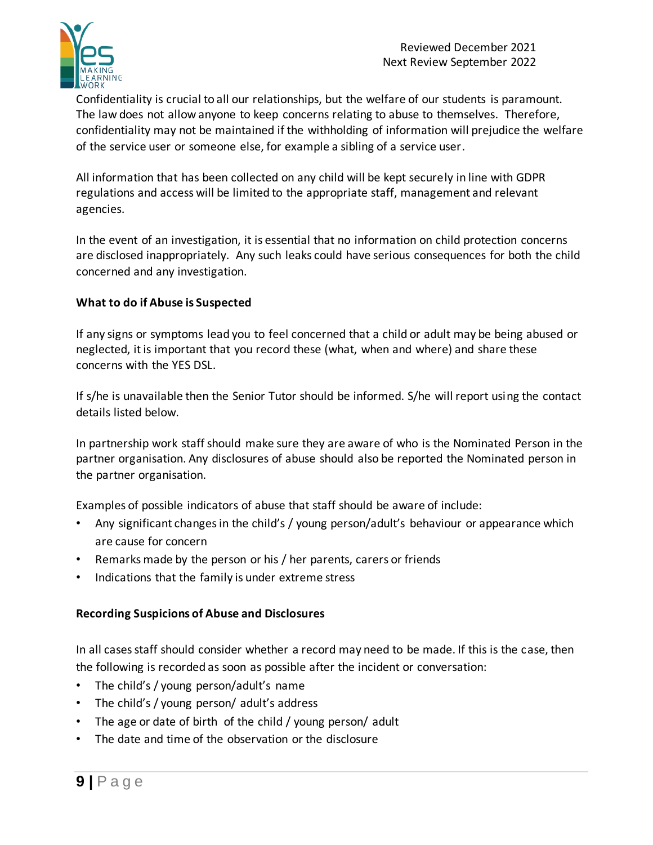

Confidentiality is crucial to all our relationships, but the welfare of our students is paramount. The law does not allow anyone to keep concerns relating to abuse to themselves. Therefore, confidentiality may not be maintained if the withholding of information will prejudice the welfare of the service user or someone else, for example a sibling of a service user.

All information that has been collected on any child will be kept securely in line with GDPR regulations and access will be limited to the appropriate staff, management and relevant agencies.

In the event of an investigation, it is essential that no information on child protection concerns are disclosed inappropriately. Any such leaks could have serious consequences for both the child concerned and any investigation.

## **What to do if Abuse is Suspected**

If any signs or symptoms lead you to feel concerned that a child or adult may be being abused or neglected, it is important that you record these (what, when and where) and share these concerns with the YES DSL.

If s/he is unavailable then the Senior Tutor should be informed. S/he will report using the contact details listed below.

In partnership work staff should make sure they are aware of who is the Nominated Person in the partner organisation. Any disclosures of abuse should also be reported the Nominated person in the partner organisation.

Examples of possible indicators of abuse that staff should be aware of include:

- Any significant changes in the child's / young person/adult's behaviour or appearance which are cause for concern
- Remarks made by the person or his / her parents, carers or friends
- Indications that the family is under extreme stress

# **Recording Suspicions of Abuse and Disclosures**

In all cases staff should consider whether a record may need to be made. If this is the case, then the following is recorded as soon as possible after the incident or conversation:

- The child's / young person/adult's name
- The child's / young person/ adult's address
- The age or date of birth of the child / young person/ adult
- The date and time of the observation or the disclosure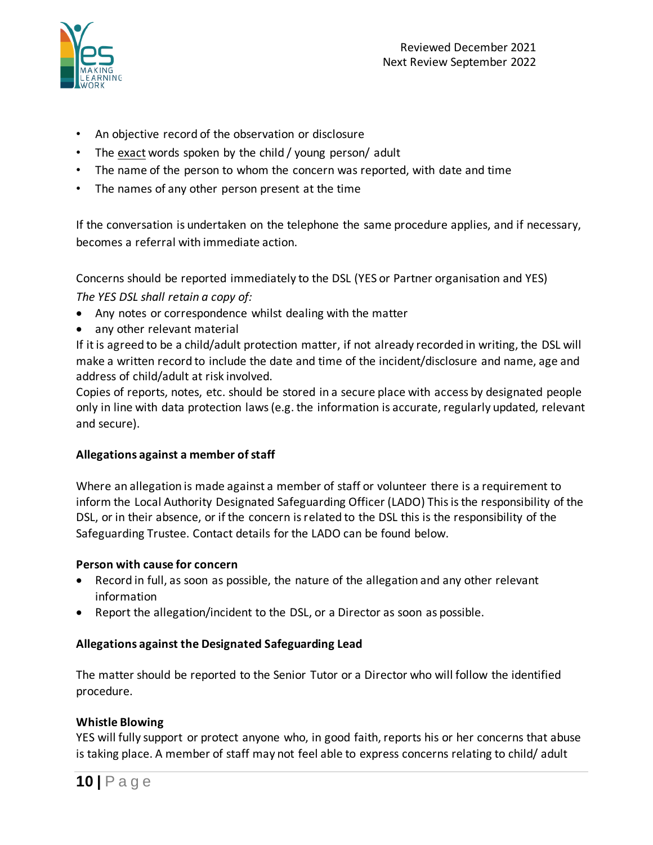

- An objective record of the observation or disclosure
- The exact words spoken by the child / young person/ adult
- The name of the person to whom the concern was reported, with date and time
- The names of any other person present at the time

If the conversation is undertaken on the telephone the same procedure applies, and if necessary, becomes a referral with immediate action.

Concerns should be reported immediately to the DSL (YES or Partner organisation and YES) *The YES DSL shall retain a copy of:*

- Any notes or correspondence whilst dealing with the matter
- any other relevant material

If it is agreed to be a child/adult protection matter, if not already recorded in writing, the DSL will make a written record to include the date and time of the incident/disclosure and name, age and address of child/adult at risk involved.

Copies of reports, notes, etc. should be stored in a secure place with access by designated people only in line with data protection laws (e.g. the information is accurate, regularly updated, relevant and secure).

## **Allegations against a member of staff**

Where an allegation is made against a member of staff or volunteer there is a requirement to inform the Local Authority Designated Safeguarding Officer (LADO) This is the responsibility of the DSL, or in their absence, or if the concern is related to the DSL this is the responsibility of the Safeguarding Trustee. Contact details for the LADO can be found below.

#### **Person with cause for concern**

- Record in full, as soon as possible, the nature of the allegation and any other relevant information
- Report the allegation/incident to the DSL, or a Director as soon as possible.

#### **Allegations against the Designated Safeguarding Lead**

The matter should be reported to the Senior Tutor or a Director who will follow the identified procedure.

#### **Whistle Blowing**

YES will fully support or protect anyone who, in good faith, reports his or her concerns that abuse is taking place. A member of staff may not feel able to express concerns relating to child/ adult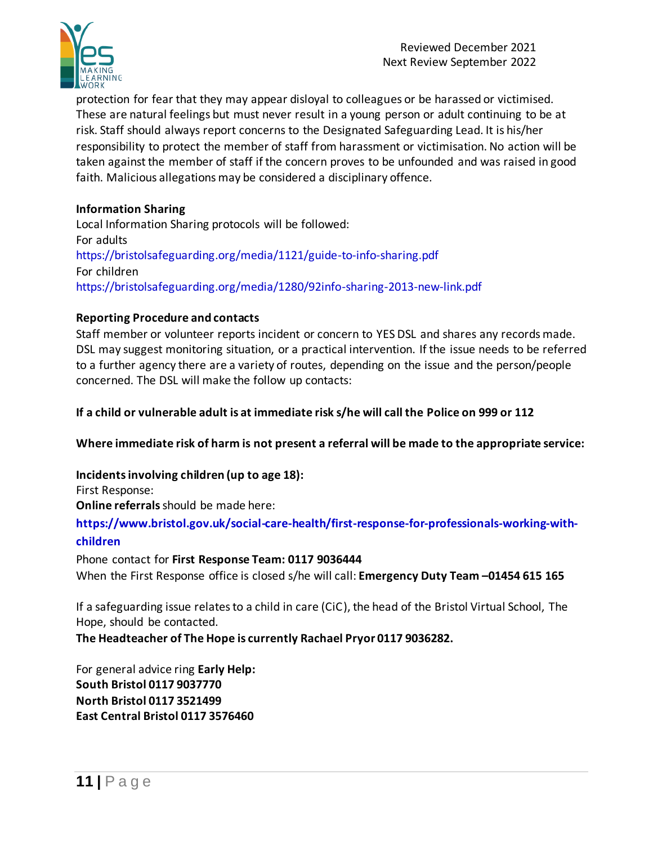

protection for fear that they may appear disloyal to colleagues or be harassed or victimised. These are natural feelings but must never result in a young person or adult continuing to be at risk. Staff should always report concerns to the Designated Safeguarding Lead. It is his/her responsibility to protect the member of staff from harassment or victimisation. No action will be taken against the member of staff if the concern proves to be unfounded and was raised in good faith. Malicious allegations may be considered a disciplinary offence.

## **Information Sharing**

Local Information Sharing protocols will be followed: For adults https://bristolsafeguarding.org/media/1121/guide-to-info-sharing.pdf For children https://bristolsafeguarding.org/media/1280/92info-sharing-2013-new-link.pdf

## **Reporting Procedure and contacts**

Staff member or volunteer reports incident or concern to YES DSL and shares any records made. DSL may suggest monitoring situation, or a practical intervention. If the issue needs to be referred to a further agency there are a variety of routes, depending on the issue and the person/people concerned. The DSL will make the follow up contacts:

## **If a child or vulnerable adult is at immediate risk s/he will call the Police on 999 or 112**

**Where immediate risk of harm is not present a referral will be made to the appropriate service:**

**Incidents involving children (up to age 18):** First Response:

**Online referrals** should be made here:

**https://www.bristol.gov.uk/social-care-health/first-response-for-professionals-working-withchildren**

Phone contact for **First Response Team: 0117 9036444** When the First Response office is closed s/he will call: **Emergency Duty Team –01454 615 165**

If a safeguarding issue relates to a child in care (CiC), the head of the Bristol Virtual School, The Hope, should be contacted.

**The Headteacher of The Hope is currently Rachael Pryor 0117 9036282.**

For general advice ring **Early Help: South Bristol 0117 9037770 North Bristol 0117 3521499 East Central Bristol 0117 3576460**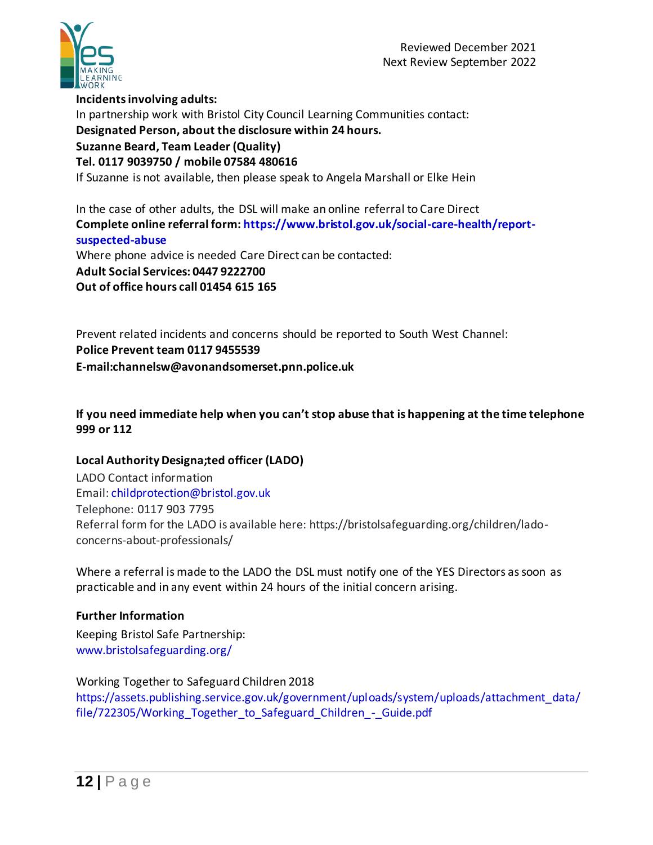

**Incidents involving adults:** In partnership work with Bristol City Council Learning Communities contact: **Designated Person, about the disclosure within 24 hours. Suzanne Beard, Team Leader (Quality) Tel. 0117 9039750 / mobile 07584 480616** If Suzanne is not available, then please speak to Angela Marshall or Elke Hein

In the case of other adults, the DSL will make an online referral to Care Direct **Complete online referral form: https://www.bristol.gov.uk/social-care-health/reportsuspected-abuse** Where phone advice is needed Care Direct can be contacted: **Adult Social Services: 0447 9222700 Out of office hours call 01454 615 165**

Prevent related incidents and concerns should be reported to South West Channel: **Police Prevent team 0117 9455539 E-mail:channelsw@avonandsomerset.pnn.police.uk** 

**If you need immediate help when you can't stop abuse that is happening at the time telephone 999 or 112**

## **Local Authority Designa;ted officer (LADO)**

LADO Contact information Email: childprotection@bristol.gov.uk Telephone: 0117 903 7795 Referral form for the LADO is available here: https://bristolsafeguarding.org/children/ladoconcerns-about-professionals/

Where a referral is made to the LADO the DSL must notify one of the YES Directors as soon as practicable and in any event within 24 hours of the initial concern arising.

## **Further Information**

Keeping Bristol Safe Partnership: www.bristolsafeguarding.org/

Working Together to Safeguard Children 2018

https://assets.publishing.service.gov.uk/government/uploads/system/uploads/attachment\_data/ file/722305/Working Together to Safeguard Children - Guide.pdf